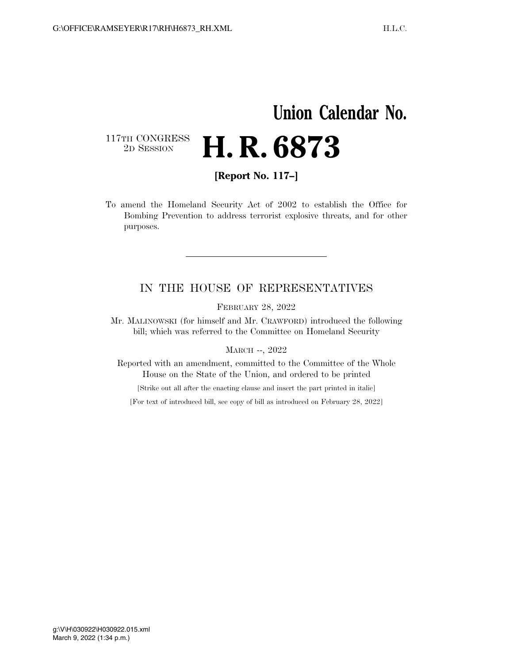## **Union Calendar No.**  117TH CONGRESS<br>2D SESSION 2D SESSION **H. R. 6873**

**[Report No. 117–]** 

To amend the Homeland Security Act of 2002 to establish the Office for Bombing Prevention to address terrorist explosive threats, and for other purposes.

### IN THE HOUSE OF REPRESENTATIVES

FEBRUARY 28, 2022

Mr. MALINOWSKI (for himself and Mr. CRAWFORD) introduced the following bill; which was referred to the Committee on Homeland Security

MARCH --, 2022

Reported with an amendment, committed to the Committee of the Whole House on the State of the Union, and ordered to be printed

[Strike out all after the enacting clause and insert the part printed in italic]

[For text of introduced bill, see copy of bill as introduced on February 28, 2022]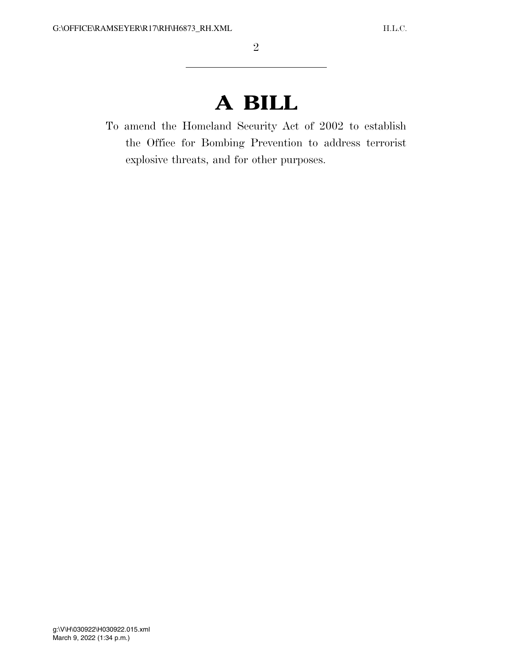# **A BILL**

To amend the Homeland Security Act of 2002 to establish the Office for Bombing Prevention to address terrorist explosive threats, and for other purposes.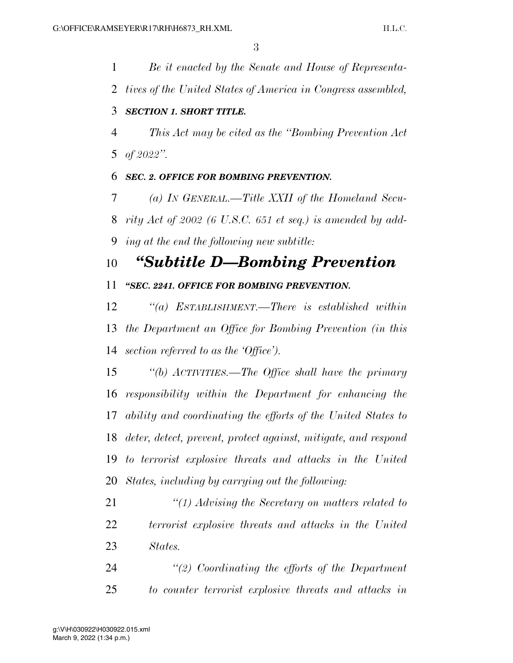*Be it enacted by the Senate and House of Representa- tives of the United States of America in Congress assembled, SECTION 1. SHORT TITLE. This Act may be cited as the ''Bombing Prevention Act of 2022''. SEC. 2. OFFICE FOR BOMBING PREVENTION.* 

 *(a) IN GENERAL.—Title XXII of the Homeland Secu- rity Act of 2002 (6 U.S.C. 651 et seq.) is amended by add-ing at the end the following new subtitle:* 

## *''Subtitle D—Bombing Prevention*

*''SEC. 2241. OFFICE FOR BOMBING PREVENTION.* 

 *''(a) ESTABLISHMENT.—There is established within the Department an Office for Bombing Prevention (in this section referred to as the 'Office').* 

 *''(b) ACTIVITIES.—The Office shall have the primary responsibility within the Department for enhancing the ability and coordinating the efforts of the United States to deter, detect, prevent, protect against, mitigate, and respond to terrorist explosive threats and attacks in the United States, including by carrying out the following:* 

- *''(1) Advising the Secretary on matters related to terrorist explosive threats and attacks in the United States.*
- *''(2) Coordinating the efforts of the Department to counter terrorist explosive threats and attacks in*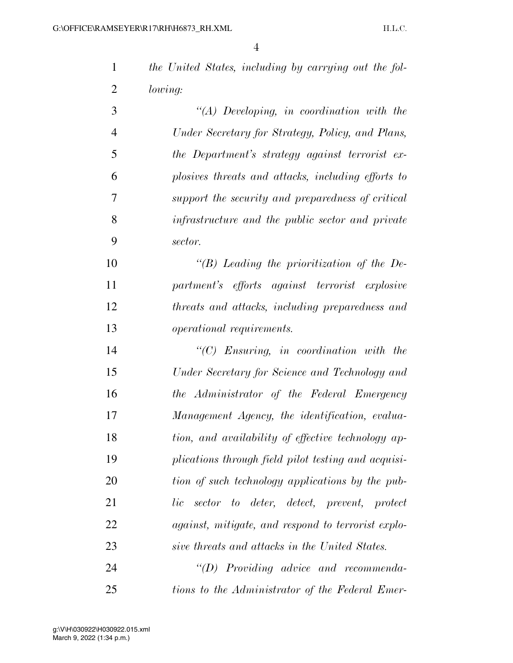| the United States, including by carrying out the fol- |  |  |
|-------------------------------------------------------|--|--|
| <i>lowing:</i>                                        |  |  |

 *''(A) Developing, in coordination with the Under Secretary for Strategy, Policy, and Plans, the Department's strategy against terrorist ex- plosives threats and attacks, including efforts to support the security and preparedness of critical infrastructure and the public sector and private sector.* 

 *''(B) Leading the prioritization of the De- partment's efforts against terrorist explosive threats and attacks, including preparedness and operational requirements.* 

 *''(C) Ensuring, in coordination with the Under Secretary for Science and Technology and the Administrator of the Federal Emergency Management Agency, the identification, evalua- tion, and availability of effective technology ap- plications through field pilot testing and acquisi- tion of such technology applications by the pub- lic sector to deter, detect, prevent, protect against, mitigate, and respond to terrorist explo-sive threats and attacks in the United States.* 

 *''(D) Providing advice and recommenda-tions to the Administrator of the Federal Emer-*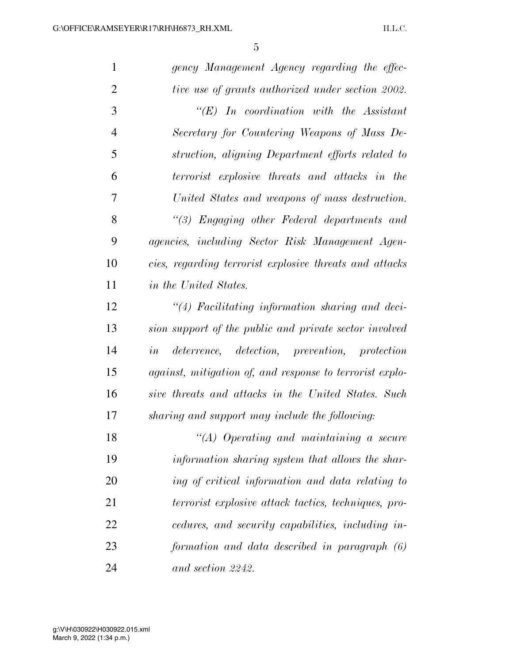| $\mathbf{1}$   | gency Management Agency regarding the effec-             |
|----------------|----------------------------------------------------------|
| $\overline{2}$ | tive use of grants authorized under section 2002.        |
| 3              | $\lq\lq E$ ) In coordination with the Assistant          |
| $\overline{4}$ | Secretary for Countering Weapons of Mass De-             |
| 5              | struction, aligning Department efforts related to        |
| 6              | terrorist explosive threats and attacks in the           |
| 7              | United States and weapons of mass destruction.           |
| 8              | "(3) Engaging other Federal departments and              |
| 9              | agencies, including Sector Risk Management Agen-         |
| 10             | cies, regarding terrorist explosive threats and attacks  |
| 11             | in the United States.                                    |
| 12             | $\lq(4)$ Facilitating information sharing and deci-      |
| 13             | sion support of the public and private sector involved   |
| 14             | deterrence, detection, prevention, protection<br>in      |
| 15             | against, mitigation of, and response to terrorist explo- |
| 16             | sive threats and attacks in the United States. Such      |
| 17             | sharing and support may include the following:           |
| 18             | $\lq\lq (A)$ Operating and maintaining a secure          |
| 19             | information sharing system that allows the shar-         |
| 20             | ing of critical information and data relating to         |
| 21             | terrorist explosive attack tactics, techniques, pro-     |
| 22             | cedures, and security capabilities, including in-        |
| 23             | formation and data described in paragraph (6)            |
| 24             | and section 2242.                                        |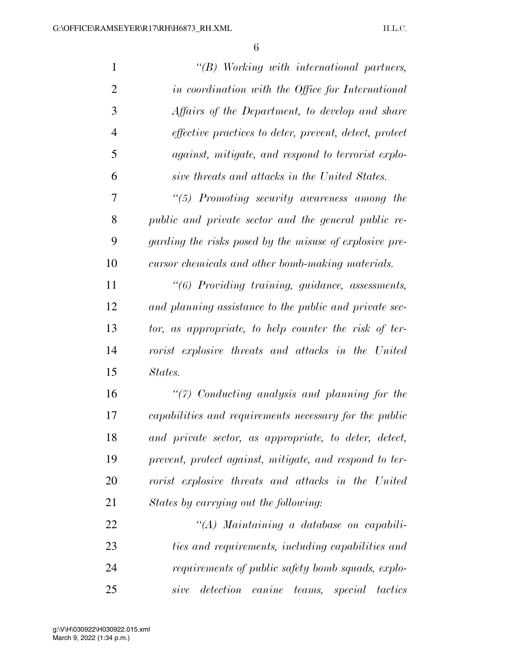| $\mathbf{1}$   | $\lq\lq B$ Working with international partners,                |
|----------------|----------------------------------------------------------------|
| $\overline{2}$ | in coordination with the Office for International              |
| 3              | Affairs of the Department, to develop and share                |
| $\overline{4}$ | <i>effective practices to deter, prevent, detect, protect</i>  |
| 5              | against, mitigate, and respond to terrorist explo-             |
| 6              | sive threats and attacks in the United States.                 |
| 7              | $\lq(5)$ Promoting security awareness among the                |
| 8              | public and private sector and the general public re-           |
| 9              | garding the risks posed by the misuse of explosive pre-        |
| 10             | cursor chemicals and other bomb-making materials.              |
| 11             | "(6) Providing training, guidance, assessments,                |
| 12             | and planning assistance to the public and private sec-         |
| 13             | tor, as appropriate, to help counter the risk of ter-          |
| 14             | rorist explosive threats and attacks in the United             |
| 15             | States.                                                        |
| 16             | $\lq(7)$ Conducting analysis and planning for the              |
| 17             | capabilities and requirements necessary for the public         |
| 18             | and private sector, as appropriate, to deter, detect,          |
| 19             | prevent, protect against, mitigate, and respond to ter-        |
| 20             | rorist explosive threats and attacks in the United             |
| 21             | States by carrying out the following:                          |
| 22             | "(A) Maintaining a database on capabili-                       |
| 23             | ties and requirements, including capabilities and              |
| 24             | requirements of public safety bomb squads, explo-              |
| 25             | detection<br>canine<br>$teams$ ,<br>special<br>tactics<br>sive |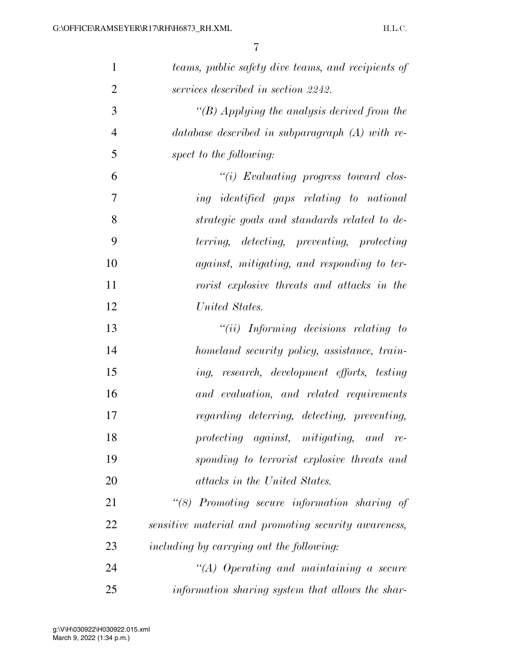| $\mathbf{1}$   | teams, public safety dive teams, and recipients of   |
|----------------|------------------------------------------------------|
| $\overline{2}$ | services described in section 2242.                  |
| 3              | "(B) Applying the analysis derived from the          |
| $\overline{4}$ | database described in subparagraph $(A)$ with re-    |
| 5              | spect to the following:                              |
| 6              | $``(i)$ Evaluating progress toward clos-             |
| 7              | ing identified gaps relating to national             |
| 8              | strategic goals and standards related to de-         |
| 9              | terring, detecting, preventing, protecting           |
| 10             | against, mitigating, and responding to ter-          |
| 11             | rorist explosive threats and attacks in the          |
| 12             | United States.                                       |
| 13             | $``(ii)$ Informing decisions relating to             |
| 14             | homeland security policy, assistance, train-         |
| 15             | ing, research, development efforts, testing          |
| 16             | and evaluation, and related requirements             |
| 17             | regarding deterring, detecting, preventing,          |
| 18             | protecting against, mitigating, and re-              |
| 19             | sponding to terrorist explosive threats and          |
| 20             | attacks in the United States.                        |
| 21             | "(8) Promoting secure information sharing of         |
| 22             | sensitive material and promoting security awareness, |
| 23             | including by carrying out the following:             |
| 24             | $\lq (A)$ Operating and maintaining a secure         |
| 25             | information sharing system that allows the shar-     |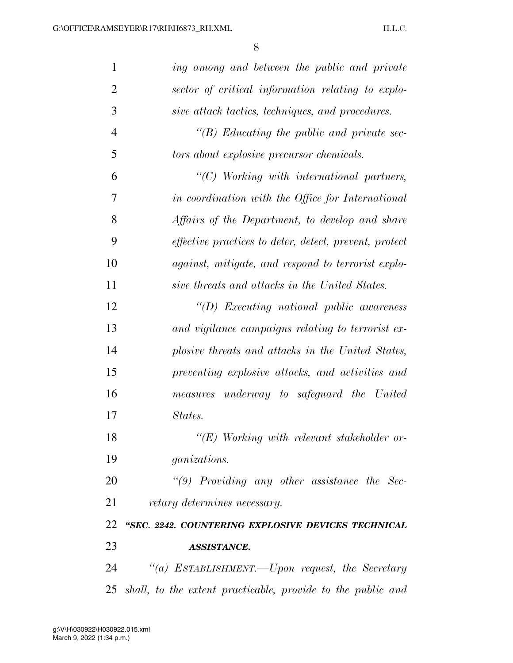| $\mathbf{1}$   | ing among and between the public and private                  |
|----------------|---------------------------------------------------------------|
| $\overline{2}$ | sector of critical information relating to explo-             |
| 3              | sive attack tactics, techniques, and procedures.              |
| $\overline{4}$ | $\lq\lq(B)$ Educating the public and private sec-             |
| 5              | tors about explosive precursor chemicals.                     |
| 6              | $"$ (C) Working with international partners,                  |
| 7              | in coordination with the Office for International             |
| 8              | Affairs of the Department, to develop and share               |
| 9              | <i>effective practices to deter, detect, prevent, protect</i> |
| 10             | against, mitigate, and respond to terrorist explo-            |
| 11             | sive threats and attacks in the United States.                |
| 12             | $\lq (D)$ Executing national public awareness                 |
| 13             | and vigilance campaigns relating to terrorist ex-             |
| 14             | plosive threats and attacks in the United States,             |
| 15             | preventing explosive attacks, and activities and              |
| 16             | measures underway to safeguard the United                     |
| 17             | States.                                                       |
| 18             | $\lq\lq (E)$ Working with relevant stakeholder or-            |
| 19             | <i>ganizations.</i>                                           |
| 20             | " $(9)$ Providing any other assistance the Sec-               |
| 21             | retary determines necessary.                                  |
| 22             | "SEC. 2242. COUNTERING EXPLOSIVE DEVICES TECHNICAL            |
| 23             | <b>ASSISTANCE.</b>                                            |
| 24             | "(a) ESTABLISHMENT.—Upon request, the Secretary               |
| 25             | shall, to the extent practicable, provide to the public and   |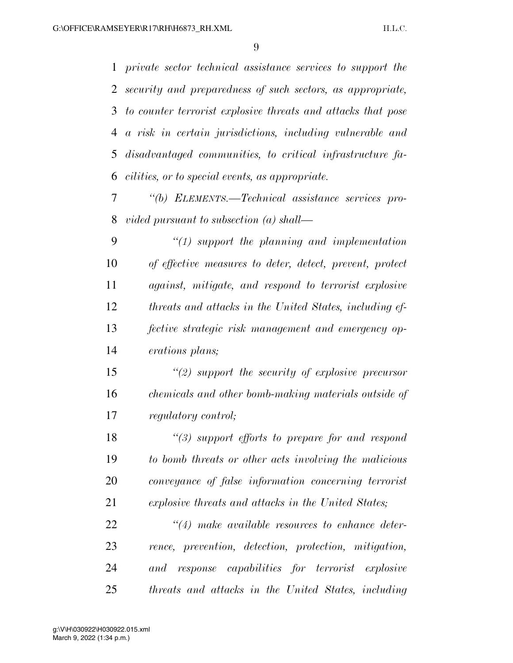*private sector technical assistance services to support the security and preparedness of such sectors, as appropriate, to counter terrorist explosive threats and attacks that pose a risk in certain jurisdictions, including vulnerable and disadvantaged communities, to critical infrastructure fa-cilities, or to special events, as appropriate.* 

 *''(b) ELEMENTS.—Technical assistance services pro-vided pursuant to subsection (a) shall—* 

 *''(1) support the planning and implementation of effective measures to deter, detect, prevent, protect against, mitigate, and respond to terrorist explosive threats and attacks in the United States, including ef- fective strategic risk management and emergency op-erations plans;* 

 *''(2) support the security of explosive precursor chemicals and other bomb-making materials outside of regulatory control;* 

 *''(3) support efforts to prepare for and respond to bomb threats or other acts involving the malicious conveyance of false information concerning terrorist explosive threats and attacks in the United States;* 

 *''(4) make available resources to enhance deter- rence, prevention, detection, protection, mitigation, and response capabilities for terrorist explosive threats and attacks in the United States, including*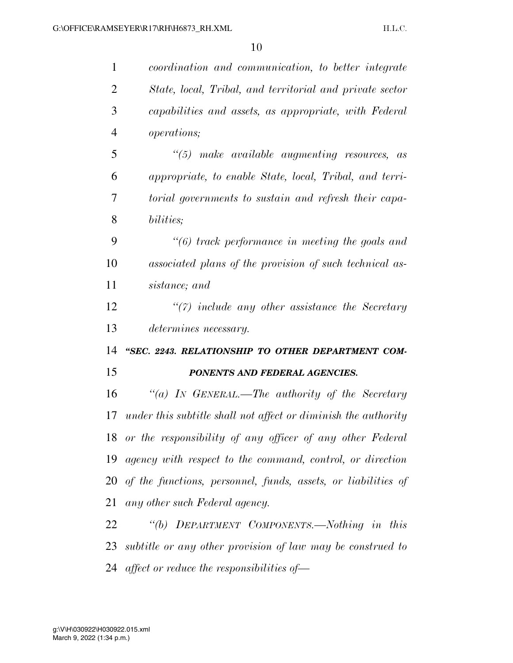| $\mathbf{1}$   | coordination and communication, to better integrate            |
|----------------|----------------------------------------------------------------|
| $\overline{2}$ | State, local, Tribal, and territorial and private sector       |
| 3              | capabilities and assets, as appropriate, with Federal          |
| $\overline{4}$ | <i>operations</i> ;                                            |
| 5              | $\degree$ (5) make available augmenting resources, as          |
| 6              | appropriate, to enable State, local, Tribal, and terri-        |
| 7              | torial governments to sustain and refresh their capa-          |
| 8              | bilities;                                                      |
| 9              | $\lq(6)$ track performance in meeting the goals and            |
| 10             | associated plans of the provision of such technical as-        |
| 11             | sistance; and                                                  |
| 12             | $\lq(7)$ include any other assistance the Secretary            |
| 13             | determines necessary.                                          |
| 14             | "SEC. 2243. RELATIONSHIP TO OTHER DEPARTMENT COM-              |
| 15             | PONENTS AND FEDERAL AGENCIES.                                  |
| 16             | "(a) IN GENERAL.—The authority of the Secretary                |
| 17             | under this subtitle shall not affect or diminish the authority |
|                | 18 or the responsibility of any officer of any other Federal   |
| 19             | agency with respect to the command, control, or direction      |
| 20             | of the functions, personnel, funds, assets, or liabilities of  |
| 21             | any other such Federal agency.                                 |
| 22             | "(b) DEPARTMENT COMPONENTS.—Nothing in this                    |
| 23             | subtitle or any other provision of law may be construed to     |
| 24             | affect or reduce the responsibilities of $-$                   |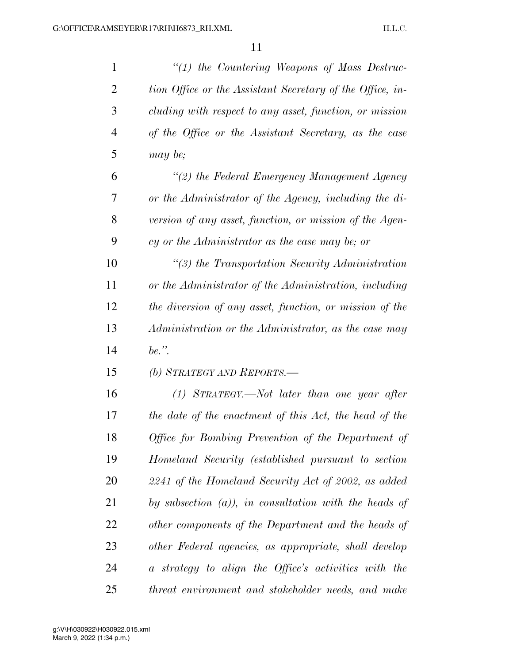| $\mathbf{1}$   | "(1) the Countering Weapons of Mass Destruc-              |
|----------------|-----------------------------------------------------------|
| $\overline{2}$ | tion Office or the Assistant Secretary of the Office, in- |
| 3              | cluding with respect to any asset, function, or mission   |
| $\overline{4}$ | of the Office or the Assistant Secretary, as the case     |
| 5              | may be;                                                   |
| 6              | "(2) the Federal Emergency Management Agency              |
| 7              | or the Administrator of the Agency, including the di-     |
| 8              | version of any asset, function, or mission of the Agen-   |
| 9              | cy or the Administrator as the case may be; or            |
| 10             | $\lq(3)$ the Transportation Security Administration       |
| 11             | or the Administrator of the Administration, including     |
| 12             | the diversion of any asset, function, or mission of the   |
| 13             | Administration or the Administrator, as the case may      |
| 14             | be.".                                                     |
| 15             | (b) STRATEGY AND REPORTS.-                                |
| 16             | $(1)$ STRATEGY.—Not later than one year after             |
| 17             | the date of the enactment of this Act, the head of the    |
| 18             | Office for Bombing Prevention of the Department of        |
| 19             | Homeland Security (established pursuant to section        |
| 20             | 2241 of the Homeland Security Act of 2002, as added       |
| 21             | by subsection $(a)$ ), in consultation with the heads of  |
| 22             | other components of the Department and the heads of       |
| 23             | other Federal agencies, as appropriate, shall develop     |
| 24             | a strategy to align the Office's activities with the      |
| 25             | threat environment and stakeholder needs, and make        |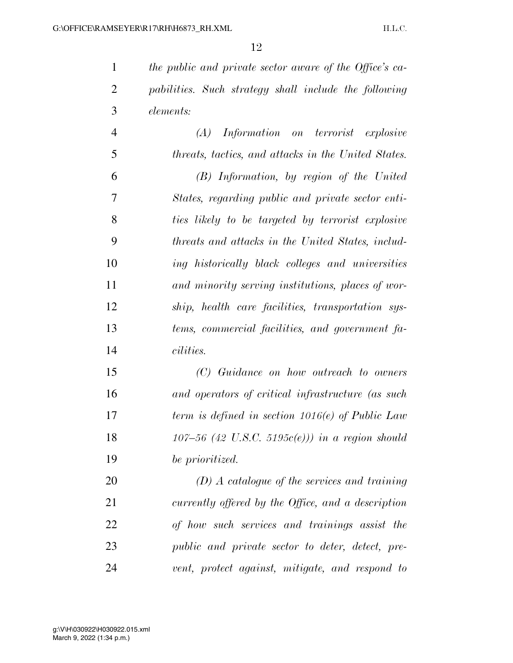*the public and private sector aware of the Office's ca- pabilities. Such strategy shall include the following elements:* 

 *(A) Information on terrorist explosive threats, tactics, and attacks in the United States. (B) Information, by region of the United States, regarding public and private sector enti- ties likely to be targeted by terrorist explosive threats and attacks in the United States, includ- ing historically black colleges and universities and minority serving institutions, places of wor- ship, health care facilities, transportation sys- tems, commercial facilities, and government fa-cilities.* 

 *(C) Guidance on how outreach to owners and operators of critical infrastructure (as such term is defined in section 1016(e) of Public Law 107–56 (42 U.S.C. 5195c(e))) in a region should be prioritized.* 

 *(D) A catalogue of the services and training currently offered by the Office, and a description of how such services and trainings assist the public and private sector to deter, detect, pre-vent, protect against, mitigate, and respond to*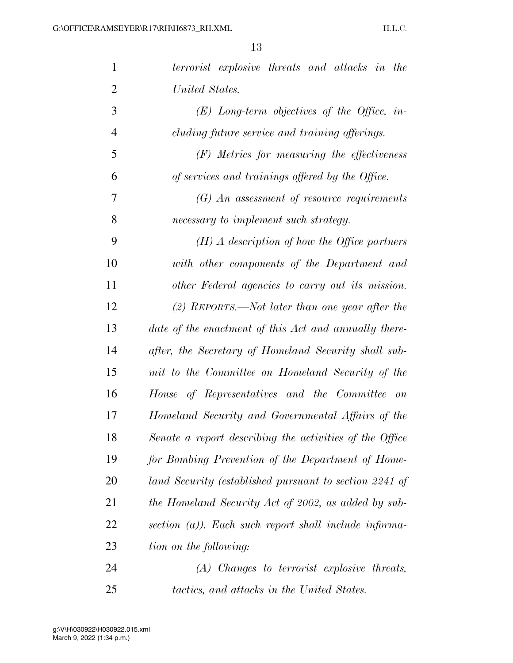| $\mathbf{1}$   | terrorist explosive threats and attacks in the           |
|----------------|----------------------------------------------------------|
| $\overline{2}$ | United States.                                           |
| 3              | $(E)$ Long-term objectives of the Office, in-            |
| $\overline{4}$ | cluding future service and training offerings.           |
| 5              | $(F)$ Metrics for measuring the effectiveness            |
| 6              | of services and trainings offered by the Office.         |
| 7              | $(G)$ An assessment of resource requirements             |
| 8              | necessary to implement such strategy.                    |
| 9              | $(H)$ A description of how the Office partners           |
| 10             | with other components of the Department and              |
| 11             | other Federal agencies to carry out its mission.         |
| 12             | $(2)$ REPORTS.—Not later than one year after the         |
| 13             | date of the enactment of this Act and annually there-    |
| 14             | after, the Secretary of Homeland Security shall sub-     |
| 15             | mit to the Committee on Homeland Security of the         |
| 16             | House of Representatives and the Committee on            |
| 17             | Homeland Security and Governmental Affairs of the        |
| 18             | Senate a report describing the activities of the Office  |
| 19             | for Bombing Prevention of the Department of Home-        |
| 20             | land Security (established pursuant to section 2241 of   |
| 21             | the Homeland Security Act of 2002, as added by sub-      |
| 22             | section $(a)$ ). Each such report shall include informa- |
| 23             | tion on the following:                                   |
| 24             | $(A)$ Changes to terrorist explosive threats,            |
| 25             | tactics, and attacks in the United States.               |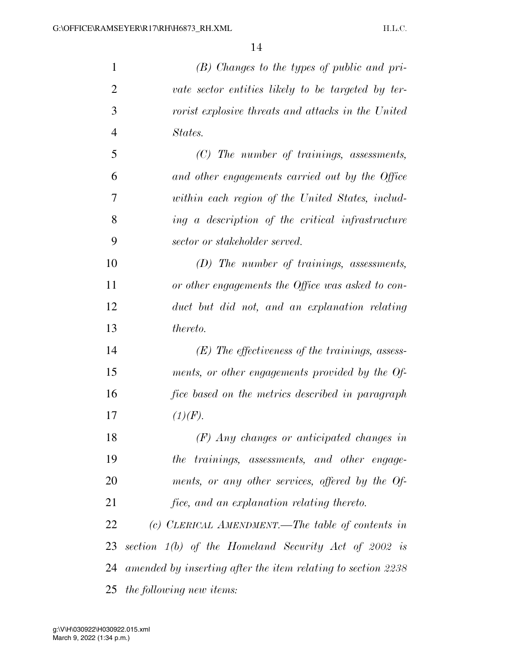| 1              | $(B)$ Changes to the types of public and pri-                |
|----------------|--------------------------------------------------------------|
| $\overline{2}$ | vate sector entities likely to be targeted by ter-           |
| 3              | <i>rorist explosive threats and attacks in the United</i>    |
| $\overline{4}$ | States.                                                      |
| 5              | $(C)$ The number of trainings, assessments,                  |
| 6              | and other engagements carried out by the Office              |
| 7              | within each region of the United States, includ-             |
| 8              | ing a description of the critical infrastructure             |
| 9              | sector or stakeholder served.                                |
| 10             | $(D)$ The number of trainings, assessments,                  |
| 11             | or other engagements the Office was asked to con-            |
| 12             | duct but did not, and an explanation relating                |
| 13             | thereto.                                                     |
| 14             | $(E)$ The effectiveness of the trainings, assess-            |
| 15             | ments, or other engagements provided by the Of-              |
| 16             | fice based on the metrics described in paragraph             |
| 17             | (1)(F).                                                      |
| 18             | $(F)$ Any changes or anticipated changes in                  |
| 19             | the trainings, assessments, and other engage-                |
| 20             | ments, or any other services, offered by the Of-             |
| 21             | fice, and an explanation relating thereto.                   |
| 22             | (c) CLERICAL AMENDMENT.—The table of contents in             |
| 23             | section $1(b)$ of the Homeland Security Act of 2002 is       |
| 24             | amended by inserting after the item relating to section 2238 |
| 25             | the following new items:                                     |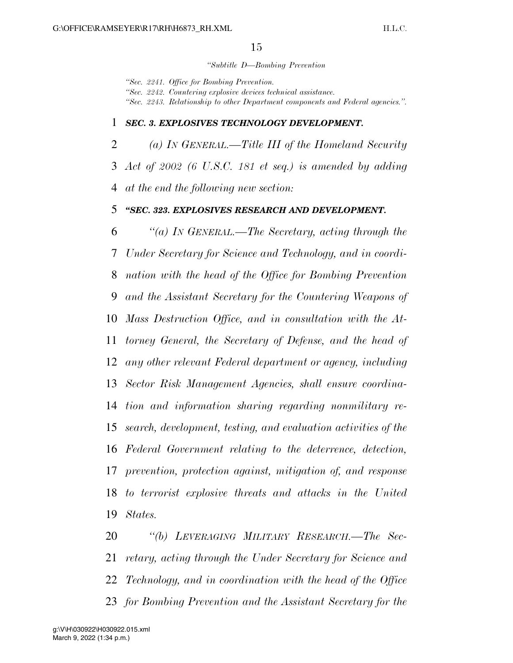#### *''Subtitle D—Bombing Prevention*

*''Sec. 2241. Office for Bombing Prevention. ''Sec. 2242. Countering explosive devices technical assistance. ''Sec. 2243. Relationship to other Department components and Federal agencies.''.* 

### *SEC. 3. EXPLOSIVES TECHNOLOGY DEVELOPMENT.*

 *(a) IN GENERAL.—Title III of the Homeland Security Act of 2002 (6 U.S.C. 181 et seq.) is amended by adding at the end the following new section:* 

### *''SEC. 323. EXPLOSIVES RESEARCH AND DEVELOPMENT.*

 *''(a) IN GENERAL.—The Secretary, acting through the Under Secretary for Science and Technology, and in coordi- nation with the head of the Office for Bombing Prevention and the Assistant Secretary for the Countering Weapons of Mass Destruction Office, and in consultation with the At- torney General, the Secretary of Defense, and the head of any other relevant Federal department or agency, including Sector Risk Management Agencies, shall ensure coordina- tion and information sharing regarding nonmilitary re- search, development, testing, and evaluation activities of the Federal Government relating to the deterrence, detection, prevention, protection against, mitigation of, and response to terrorist explosive threats and attacks in the United States.* 

 *''(b) LEVERAGING MILITARY RESEARCH.—The Sec- retary, acting through the Under Secretary for Science and Technology, and in coordination with the head of the Office for Bombing Prevention and the Assistant Secretary for the*